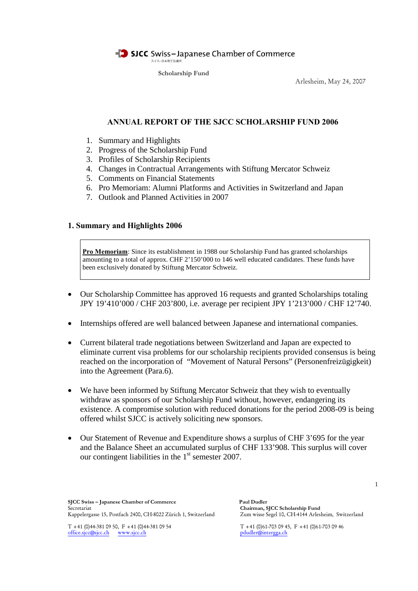

**Scholarship Fund**

Arlesheim, May 24, 2007

# **ANNUAL REPORT OF THE SJCC SCHOLARSHIP FUND 2006**

- 1. Summary and Highlights
- 2. Progress of the Scholarship Fund
- 3. Profiles of Scholarship Recipients
- 4. Changes in Contractual Arrangements with Stiftung Mercator Schweiz
- 5. Comments on Financial Statements
- 6. Pro Memoriam: Alumni Platforms and Activities in Switzerland and Japan
- 7. Outlook and Planned Activities in 2007

### **1. Summary and Highlights 2006**

**Pro Memoriam**: Since its establishment in 1988 our Scholarship Fund has granted scholarships amounting to a total of approx. CHF 2'150'000 to 146 well educated candidates. These funds have been exclusively donated by Stiftung Mercator Schweiz.

- Our Scholarship Committee has approved 16 requests and granted Scholarships totaling JPY 19'410'000 / CHF 203'800, i.e. average per recipient JPY 1'213'000 / CHF 12'740.
- Internships offered are well balanced between Japanese and international companies.
- Current bilateral trade negotiations between Switzerland and Japan are expected to eliminate current visa problems for our scholarship recipients provided consensus is being reached on the incorporation of "Movement of Natural Persons" (Personenfreizügigkeit) into the Agreement (Para.6).
- We have been informed by Stiftung Mercator Schweiz that they wish to eventually withdraw as sponsors of our Scholarship Fund without, however, endangering its existence. A compromise solution with reduced donations for the period 2008-09 is being offered whilst SJCC is actively soliciting new sponsors.
- Our Statement of Revenue and Expenditure shows a surplus of CHF 3'695 for the year and the Balance Sheet an accumulated surplus of CHF 133'908. This surplus will cover our contingent liabilities in the  $1<sup>st</sup>$  semester 2007.

1

**SJCC Swiss – Japanese Chamber of Commerce Paul Dudler** Secretariat **Chairman, SJCC Scholarship Fund** Kappelergasse 15, Postfach 2400, CH-8022 Zürich 1, Switzerland

T +41 (0)44-381 09 50, F +41 (0)44-381 09 54 T +41 (0)61-703 09 45, F +41 (0)61-703 09 46 office.sjcc@sjcc.ch www.sjcc.ch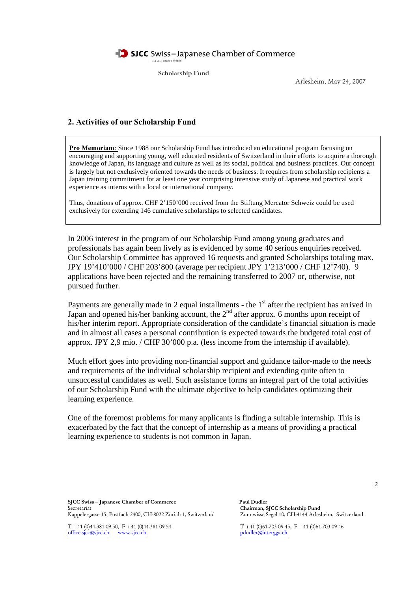**Scholarship Fund**

Arlesheim, May 24, 2007

### **2. Activities of our Scholarship Fund**

**Pro Memoriam**: Since 1988 our Scholarship Fund has introduced an educational program focusing on encouraging and supporting young, well educated residents of Switzerland in their efforts to acquire a thorough knowledge of Japan, its language and culture as well as its social, political and business practices. Our concept is largely but not exclusively oriented towards the needs of business. It requires from scholarship recipients a Japan training commitment for at least one year comprising intensive study of Japanese and practical work experience as interns with a local or international company.

Thus, donations of approx. CHF 2'150'000 received from the Stiftung Mercator Schweiz could be used exclusively for extending 146 cumulative scholarships to selected candidates.

In 2006 interest in the program of our Scholarship Fund among young graduates and professionals has again been lively as is evidenced by some 40 serious enquiries received. Our Scholarship Committee has approved 16 requests and granted Scholarships totaling max. JPY 19'410'000 / CHF 203'800 (average per recipient JPY 1'213'000 / CHF 12'740). 9 applications have been rejected and the remaining transferred to 2007 or, otherwise, not pursued further.

Payments are generally made in 2 equal installments - the 1<sup>st</sup> after the recipient has arrived in Japan and opened his/her banking account, the  $2<sup>nd</sup>$  after approx. 6 months upon receipt of his/her interim report. Appropriate consideration of the candidate's financial situation is made and in almost all cases a personal contribution is expected towards the budgeted total cost of approx. JPY 2,9 mio. / CHF 30'000 p.a. (less income from the internship if available).

Much effort goes into providing non-financial support and guidance tailor-made to the needs and requirements of the individual scholarship recipient and extending quite often to unsuccessful candidates as well. Such assistance forms an integral part of the total activities of our Scholarship Fund with the ultimate objective to help candidates optimizing their learning experience.

One of the foremost problems for many applicants is finding a suitable internship. This is exacerbated by the fact that the concept of internship as a means of providing a practical learning experience to students is not common in Japan.

**SJCC Swiss – Japanese Chamber of Commerce Paul Dudler** Secretariat **Chairman, SJCC Scholarship Fund** Kappelergasse 15, Postfach 2400, CH-8022 Zürich 1, Switzerland

office.sjcc@sjcc.ch www.sjcc.ch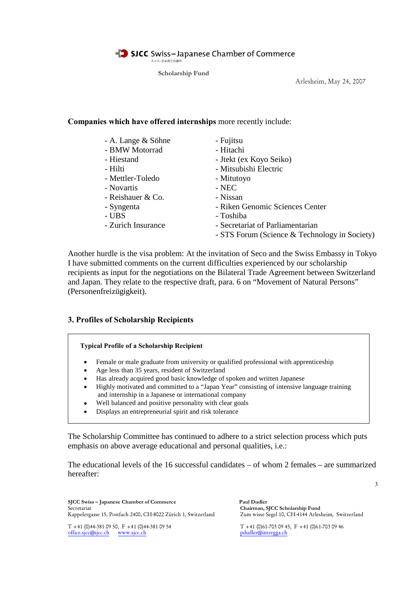**Scholarship Fund**

Arlesheim, May 24, 2007

# **Companies which have offered internships** more recently include:

| - A. Lange & Söhne | - Fujitsu                                     |
|--------------------|-----------------------------------------------|
| - BMW Motorrad     | - Hitachi                                     |
| - Hiestand         | - Jtekt (ex Koyo Seiko)                       |
| - Hilti            | - Mitsubishi Electric                         |
| - Mettler-Toledo   | - Mitutoyo                                    |
| - Novartis         | - NEC                                         |
| - Reishauer & Co.  | - Nissan                                      |
| - Syngenta         | - Riken Genomic Sciences Center               |
| - UBS              | - Toshiba                                     |
| - Zurich Insurance | - Secretariat of Parliamentarian              |
|                    | - STS Forum (Science & Technology in Society) |

Another hurdle is the visa problem: At the invitation of Seco and the Swiss Embassy in Tokyo I have submitted comments on the current difficulties experienced by our scholarship recipients as input for the negotiations on the Bilateral Trade Agreement between Switzerland and Japan. They relate to the respective draft, para. 6 on "Movement of Natural Persons" (Personenfreizügigkeit).

## **3. Profiles of Scholarship Recipients**



- Female or male graduate from university or qualified professional with apprenticeship
- Age less than 35 years, resident of Switzerland
- Has already acquired good basic knowledge of spoken and written Japanese
- Highly motivated and committed to a "Japan Year" consisting of intensive language training and internship in a Japanese or international company
- Well balanced and positive personality with clear goals
- Displays an entrepreneurial spirit and risk tolerance

The Scholarship Committee has continued to adhere to a strict selection process which puts emphasis on above average educational and personal qualities, i.e.:

The educational levels of the 16 successful candidates – of whom 2 females – are summarized hereafter:

**SJCC Swiss – Japanese Chamber of Commerce Paul Dudler** Secretariat **Chairman, SJCC Scholarship Fund** Kappelergasse 15, Postfach 2400, CH-8022 Zürich 1, Switzerland

office.sjcc@sjcc.ch www.sjcc.ch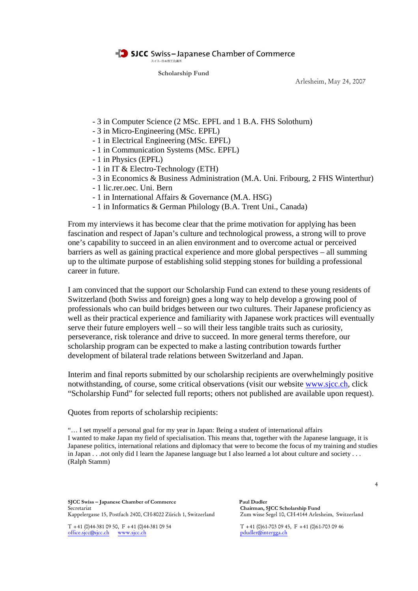**Scholarship Fund**

Arlesheim, May 24, 2007

- 3 in Computer Science (2 MSc. EPFL and 1 B.A. FHS Solothurn)
- 3 in Micro-Engineering (MSc. EPFL)
- 1 in Electrical Engineering (MSc. EPFL)
- 1 in Communication Systems (MSc. EPFL)
- 1 in Physics (EPFL)
- 1 in IT & Electro-Technology (ETH)
- 3 in Economics & Business Administration (M.A. Uni. Fribourg, 2 FHS Winterthur)
- 1 lic.rer.oec. Uni. Bern
- 1 in International Affairs & Governance (M.A. HSG)
- 1 in Informatics & German Philology (B.A. Trent Uni., Canada)

From my interviews it has become clear that the prime motivation for applying has been fascination and respect of Japan's culture and technological prowess, a strong will to prove one's capability to succeed in an alien environment and to overcome actual or perceived barriers as well as gaining practical experience and more global perspectives – all summing up to the ultimate purpose of establishing solid stepping stones for building a professional career in future.

I am convinced that the support our Scholarship Fund can extend to these young residents of Switzerland (both Swiss and foreign) goes a long way to help develop a growing pool of professionals who can build bridges between our two cultures. Their Japanese proficiency as well as their practical experience and familiarity with Japanese work practices will eventually serve their future employers well – so will their less tangible traits such as curiosity, perseverance, risk tolerance and drive to succeed. In more general terms therefore, our scholarship program can be expected to make a lasting contribution towards further development of bilateral trade relations between Switzerland and Japan.

Interim and final reports submitted by our scholarship recipients are overwhelmingly positive notwithstanding, of course, some critical observations (visit our website www.sjcc.ch, click "Scholarship Fund" for selected full reports; others not published are available upon request).

Quotes from reports of scholarship recipients:

"… I set myself a personal goal for my year in Japan: Being a student of international affairs I wanted to make Japan my field of specialisation. This means that, together with the Japanese language, it is Japanese politics, international relations and diplomacy that were to become the focus of my training and studies in Japan . . .not only did I learn the Japanese language but I also learned a lot about culture and society . . . (Ralph Stamm)

**SJCC Swiss – Japanese Chamber of Commerce Paul Dudler** Secretariat<br>Kappelergasse 15, Postfach 2400, CH-8022 Zürich 1, Switzerland Zum wisse Segel 10, CH-4144 Arlesheim, Switzerland Kappelergasse 15, Postfach 2400, CH-8022 Zürich 1, Switzerland

office.sjcc@sjcc.ch www.sjcc.ch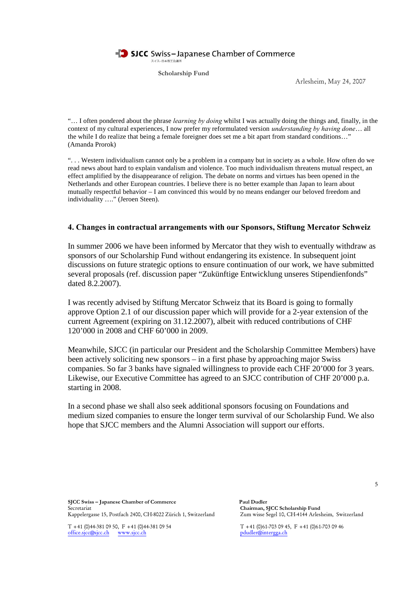

**Scholarship Fund**

Arlesheim, May 24, 2007

"… I often pondered about the phrase *learning by doing* whilst I was actually doing the things and, finally, in the context of my cultural experiences, I now prefer my reformulated version *understanding by having done*… all the while I do realize that being a female foreigner does set me a bit apart from standard conditions…" (Amanda Prorok)

". . . Western individualism cannot only be a problem in a company but in society as a whole. How often do we read news about hard to explain vandalism and violence. Too much individualism threatens mutual respect, an effect amplified by the disappearance of religion. The debate on norms and virtues has been opened in the Netherlands and other European countries. I believe there is no better example than Japan to learn about mutually respectful behavior – I am convinced this would by no means endanger our beloved freedom and individuality …." (Jeroen Steen).

### **4. Changes in contractual arrangements with our Sponsors, Stiftung Mercator Schweiz**

In summer 2006 we have been informed by Mercator that they wish to eventually withdraw as sponsors of our Scholarship Fund without endangering its existence. In subsequent joint discussions on future strategic options to ensure continuation of our work, we have submitted several proposals (ref. discussion paper "Zukünftige Entwicklung unseres Stipendienfonds" dated 8.2.2007).

I was recently advised by Stiftung Mercator Schweiz that its Board is going to formally approve Option 2.1 of our discussion paper which will provide for a 2-year extension of the current Agreement (expiring on 31.12.2007), albeit with reduced contributions of CHF 120'000 in 2008 and CHF 60'000 in 2009.

Meanwhile, SJCC (in particular our President and the Scholarship Committee Members) have been actively soliciting new sponsors – in a first phase by approaching major Swiss companies. So far 3 banks have signaled willingness to provide each CHF 20'000 for 3 years. Likewise, our Executive Committee has agreed to an SJCC contribution of CHF 20'000 p.a. starting in 2008.

In a second phase we shall also seek additional sponsors focusing on Foundations and medium sized companies to ensure the longer term survival of our Scholarship Fund. We also hope that SJCC members and the Alumni Association will support our efforts.

**SJCC Swiss – Japanese Chamber of Commerce Paul Dudler** Secretariat <sup>Chai</sup>rman, SJCC Scholarship Fund<br>Kappelergasse 15, Postfach 2400, CH-8022 Zürich 1, Switzerland Zum wisse Segel 10, CH-4144 Arlesheim, Switzerland Kappelergasse 15, Postfach 2400, CH-8022 Zürich 1, Switzerland

office.sjcc@sjcc.ch www.sjcc.ch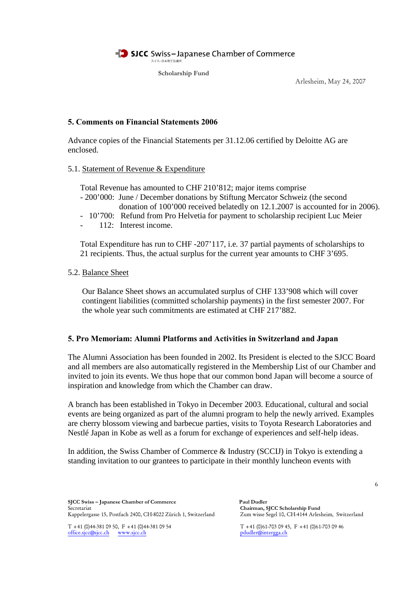**Scholarship Fund**

Arlesheim, May 24, 2007

# **5. Comments on Financial Statements 2006**

Advance copies of the Financial Statements per 31.12.06 certified by Deloitte AG are enclosed.

### 5.1. Statement of Revenue & Expenditure

Total Revenue has amounted to CHF 210'812; major items comprise

- 200'000: June / December donations by Stiftung Mercator Schweiz (the second donation of 100'000 received belatedly on 12.1.2007 is accounted for in 2006).
- 10'700: Refund from Pro Helvetia for payment to scholarship recipient Luc Meier
- 112: Interest income.

Total Expenditure has run to CHF -207'117, i.e. 37 partial payments of scholarships to 21 recipients. Thus, the actual surplus for the current year amounts to CHF 3'695.

## 5.2. Balance Sheet

Our Balance Sheet shows an accumulated surplus of CHF 133'908 which will cover contingent liabilities (committed scholarship payments) in the first semester 2007. For the whole year such commitments are estimated at CHF 217'882.

## **5. Pro Memoriam: Alumni Platforms and Activities in Switzerland and Japan**

The Alumni Association has been founded in 2002. Its President is elected to the SJCC Board and all members are also automatically registered in the Membership List of our Chamber and invited to join its events. We thus hope that our common bond Japan will become a source of inspiration and knowledge from which the Chamber can draw.

A branch has been established in Tokyo in December 2003. Educational, cultural and social events are being organized as part of the alumni program to help the newly arrived. Examples are cherry blossom viewing and barbecue parties, visits to Toyota Research Laboratories and Nestlé Japan in Kobe as well as a forum for exchange of experiences and self-help ideas.

In addition, the Swiss Chamber of Commerce & Industry (SCCIJ) in Tokyo is extending a standing invitation to our grantees to participate in their monthly luncheon events with

6

**SJCC Swiss – Japanese Chamber of Commerce Paul Dudler** Secretariat **Chairman, SJCC Scholarship Fund** Kappelergasse 15, Postfach 2400, CH-8022 Zürich 1, Switzerland

office.sjcc@sjcc.ch www.sjcc.ch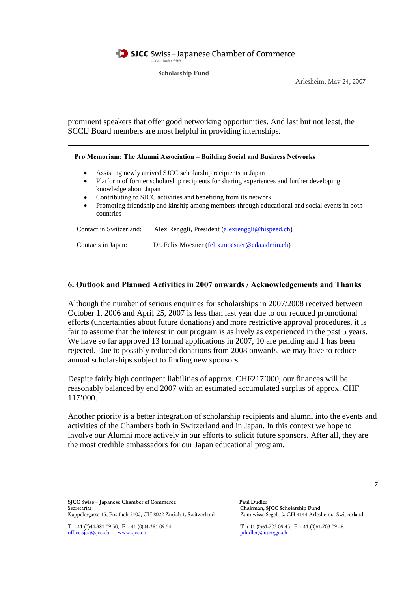

**Scholarship Fund**

Arlesheim, May 24, 2007

prominent speakers that offer good networking opportunities. And last but not least, the SCCIJ Board members are most helpful in providing internships.

**Pro Memoriam: The Alumni Association – Building Social and Business Networks** Assisting newly arrived SJCC scholarship recipients in Japan Platform of former scholarship recipients for sharing experiences and further developing knowledge about Japan Contributing to SJCC activities and benefiting from its network Promoting friendship and kinship among members through educational and social events in both countries Contact in Switzerland: Alex Renggli, President (alexrenggli@hispeed.ch) Contacts in Japan: Dr. Felix Moesner (felix.moesner@eda.admin.ch)

### **6. Outlook and Planned Activities in 2007 onwards / Acknowledgements and Thanks**

Although the number of serious enquiries for scholarships in 2007/2008 received between October 1, 2006 and April 25, 2007 is less than last year due to our reduced promotional efforts (uncertainties about future donations) and more restrictive approval procedures, it is fair to assume that the interest in our program is as lively as experienced in the past 5 years. We have so far approved 13 formal applications in 2007, 10 are pending and 1 has been rejected. Due to possibly reduced donations from 2008 onwards, we may have to reduce annual scholarships subject to finding new sponsors.

Despite fairly high contingent liabilities of approx. CHF217'000, our finances will be reasonably balanced by end 2007 with an estimated accumulated surplus of approx. CHF 117'000.

Another priority is a better integration of scholarship recipients and alumni into the events and activities of the Chambers both in Switzerland and in Japan. In this context we hope to involve our Alumni more actively in our efforts to solicit future sponsors. After all, they are the most credible ambassadors for our Japan educational program.

**SJCC Swiss – Japanese Chamber of Commerce Paul Dudler** Secretariat **Chairman, SJCC Scholarship Fund** Kappelergasse 15, Postfach 2400, CH-8022 Zürich 1, Switzerland

office.sjcc@sjcc.ch www.sjcc.ch pdudler@intergga.ch